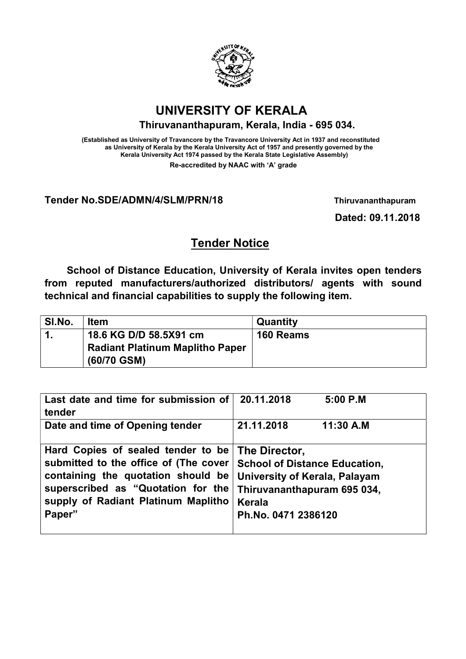

# UNIVERSITY OF KERALA

#### Thiruvananthapuram, Kerala, India - 695 034.

(Established as University of Travancore by the Travancore University Act in 1937 and reconstituted as University of Kerala by the Kerala University Act of 1957 and presently governed by the Kerala University Act 1974 passed by the Kerala State Legislative Assembly) Re-accredited by NAAC with 'A' grade

### Tender No.SDE/ADMN/4/SLM/PRN/18 Thiruvananthapuram

Dated: 09.11.2018

# Tender Notice

School of Distance Education, University of Kerala invites open tenders from reputed manufacturers/authorized distributors/ agents with sound technical and financial capabilities to supply the following item.

| SI.No. | <b>Item</b>                                                      | <b>Quantity</b> |
|--------|------------------------------------------------------------------|-----------------|
|        | 18.6 KG D/D 58.5X91 cm<br><b>Radiant Platinum Maplitho Paper</b> | 160 Reams       |
|        | $(60/70$ GSM)                                                    |                 |

| Last date and time for submission of  | 20.11.2018                           |
|---------------------------------------|--------------------------------------|
| tender                                | $5:00$ P.M                           |
| Date and time of Opening tender       | 21.11.2018<br>11:30 A.M              |
| Hard Copies of sealed tender to be    | The Director,                        |
| submitted to the office of (The cover | <b>School of Distance Education,</b> |
| containing the quotation should be    | University of Kerala, Palayam        |
| superscribed as "Quotation for the    | Thiruvananthapuram 695 034,          |
| supply of Radiant Platinum Maplitho   | <b>Kerala</b>                        |
| Paper"                                | Ph.No. 0471 2386120                  |